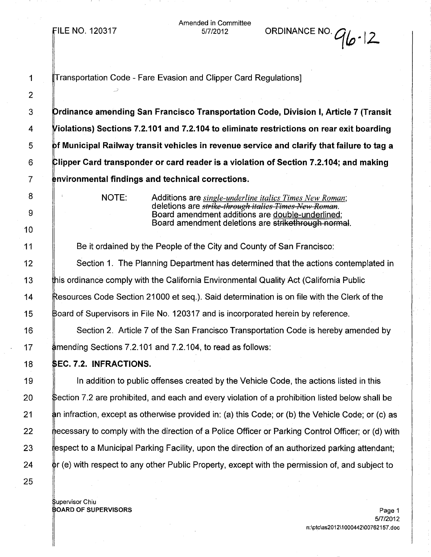FILE NO. 120317

Amended in Committee

5/7/2012 ORDINANCE NO.*q{P ..* 12.

| 1               | Transportation Code - Fare Evasion and Clipper Card Regulations]                                                                         |
|-----------------|------------------------------------------------------------------------------------------------------------------------------------------|
| $\overline{2}$  |                                                                                                                                          |
| 3               | Drdinance amending San Francisco Transportation Code, Division I, Article 7 (Transit                                                     |
| 4               | Violations) Sections 7.2.101 and 7.2.104 to eliminate restrictions on rear exit boarding                                                 |
| 5               | $\operatorname{\mathsf{b}}$ f Municipal Railway transit vehicles in revenue service and clarify that failure to tag a                    |
| 6               | ${\mathsf C}$ lipper Card transponder or card reader is a violation of Section 7.2.104; and making                                       |
| $\overline{7}$  | environmental findings and technical corrections.                                                                                        |
| 8               | NOTE:<br>Additions are <i>single-underline italics Times New Roman</i> ;<br>deletions are <i>strike-through italics Times-New Roman.</i> |
| 9               | Board amendment additions are double-underlined;<br>Board amendment deletions are strikethrough normal.                                  |
| 10 <sup>°</sup> |                                                                                                                                          |
| 11              | Be it ordained by the People of the City and County of San Francisco:                                                                    |
| 12              | Section 1. The Planning Department has determined that the actions contemplated in                                                       |
| 13              | this ordinance comply with the California Environmental Quality Act (California Public                                                   |
| 14              | Resources Code Section 21000 et seq.). Said determination is on file with the Clerk of the                                               |
| 15              | Board of Supervisors in File No. 120317 and is incorporated herein by reference.                                                         |
| 16              | Section 2. Article 7 of the San Francisco Transportation Code is hereby amended by                                                       |
| 17              | #mending Sections 7.2.101 and 7.2.104, to read as follows:                                                                               |
| 18              | <b>\$EC. 7.2. INFRACTIONS.</b>                                                                                                           |
| 19              | In addition to public offenses created by the Vehicle Code, the actions listed in this                                                   |
| 20              | \$ection 7.2 are prohibited, and each and every violation of a prohibition listed below shall be                                         |
| 21              | an infraction, except as otherwise provided in: (a) this Code; or (b) the Vehicle Code; or (c) as #                                      |
| 22              | ecessary to comply with the direction of a Police Officer or Parking Control Officer; or (d) with                                        |
| 23              | espect to a Municipal Parking Facility, upon the direction of an authorized parking attendant;                                           |
| 24              | $\phi$ r (e) with respect to any other Public Property, except with the permission of, and subject to                                    |
| 25              |                                                                                                                                          |
|                 |                                                                                                                                          |

upervisor Chiu

OARD OF SUPERVISORS Page 1 5/7/2012 n:\ptc\as2012\1000442\00762157.doc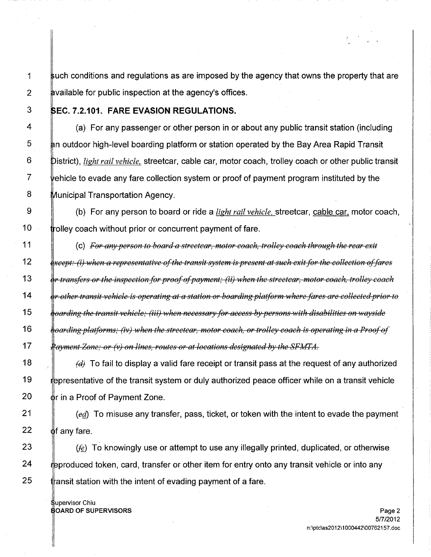1 uch conditions and regulations as are imposed by the agency that owns the property that are 2 by a by a by public inspection at the agency's offices.

12

13

14

15

16

17

## 3 EC.7.2.101. **FARE EVASION REGULATIONS.**

 $\frac{4}{1}$  (a) For any passenger or other person in or about any public transit station (including  $5$  heth outdoor high-level boarding platform or station operated by the Bay Area Rapid Transit 6 istrict), *light rail vehicle.* streetcar, cable car, motor coach, trolley coach or other public transit  $7$  vehicle to evade any fare collection system or proof of payment program instituted by the 8 Municipal Transportation Agency.

9 (b) For any person to board or ride a *light rail vehicle,* streetcar, cable car, motor coach,  $10$  drolley coach without prior or concurrent payment of fare.

11  $\parallel$  (c) For any person to board a streetcar, motor coach, trolley coach through the rear exit  $\{ \text{except: } (i) \text{ when a representative of the transit system is present at such exit for the collection of fares } \}$  $\stackrel{1}{\theta}$ r transfers or the inspection for proof of payment; (ii) when the streetcar, motor coach, trolley coach or other transit vehicle is operating at a station or boarding platform where fares are collected prior to  $\frac{1}{2}$ oarding the transit vehicle; (iii) when necessary for access-by-persons-with disabilities on wayside  $^{\rm h}$ oarding platforms; (iv) when the streetear, motor coach, or trolley coach is operating in a Proof of  $^{\rm c}$ <del>ftayment Zone; or (v) on lines, routes or at locations designated by the SFMTA.</del>

18  $\|\theta\|$  fd To fail to display a valid fare receipt or transit pass at the request of any authorized 19 presentative of the transit system or duly authorized peace officer while on a transit vehicle 20  $\phi$ r in a Proof of Payment Zone.

21  $\|\cdot\|$  (ed) To misuse any transfer, pass, ticket, or token with the intent to evade the payment 22  $\oint$  f any fare.

23 if  $\mathbb{F}$  if  $\mathfrak{f}_e$ . To knowingly use or attempt to use any illegally printed, duplicated, or otherwise 24 produced token, card, transfer or other item for entry onto any transit vehicle or into any 25  $\frac{1}{2}$  transit station with the intent of evading payment of a fare.

upervisor Chiu

OARD OF SUPERVISORS Page 2 5/7/2012 n:\ptc\as2012\1 000442\00762157.doc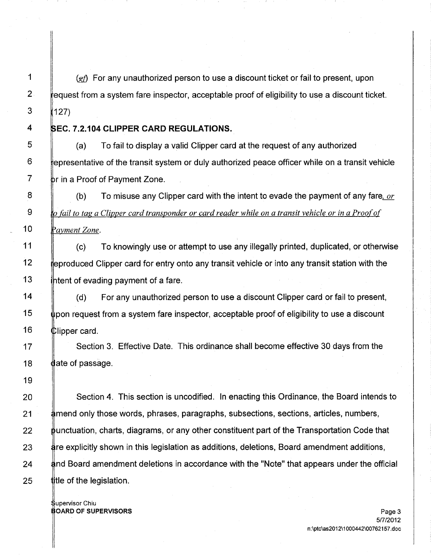1  $\|\cdot\|_{\mathcal{G}}$  For any unauthorized person to use a discount ticket or fail to present, upon  $2 \div$  request from a system fare inspector, acceptable proof of eligibility to use a discount ticket.  $3$  (127)

4 **EC. 7.2.104 CLIPPER CARD REGULATIONS.**

8

9

10

11

19

 $\overline{5}$   $\parallel$  (a) To fail to display a valid Clipper card at the request of any authorized  $6$  epresentative of the transit system or duly authorized peace officer while on a transit vehicle  $7$  br in a Proof of Payment Zone.

(b) To misuse any Clipper card with the intent to evade the payment of any fare, *or er card trans onder or card reader while on a transit vehicle or in a Proo <sup>0</sup>*  $\mathbb{P}$ avment Zone.

To knowingly use or attempt to use any illegally printed, duplicated, or otherwise (c) 12 igroduced Clipper card for entry onto any transit vehicle or into any transit station with the 13  $\frac{1}{2}$  thent of evading payment of a fare.

14  $\parallel$  (d) For any unauthorized person to use a discount Clipper card or fail to present,  $15$  lipon request from a system fare inspector, acceptable proof of eligibility to use a discount 16  $\bigcup$  Ulipper card.

17 **Section 3. Effective Date. This ordinance shall become effective 30 days from the** 18  $\theta$  ate of passage.

**Section 4. This section is uncodified.** In enacting this Ordinance, the Board intends to mend only those words, phrases, paragraphs, subsections, sections, articles, numbers, bunctuation, charts, diagrams, or any other constituent part of the Transportation Code that 23 re explicitly shown in this legislation as additions, deletions, Board amendment additions, 24 and Board amendment deletions in accordance with the "Note" that appears under the official title of the legislation.

upervisor Chiu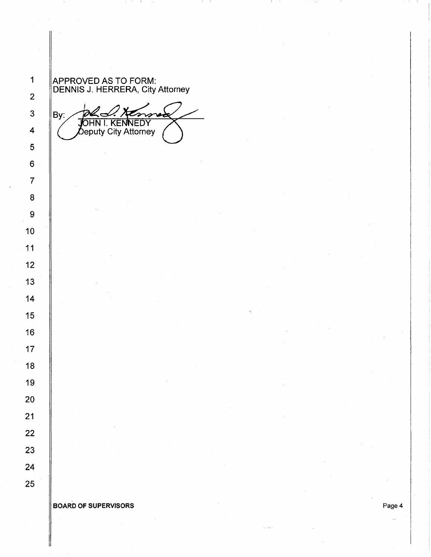APPROVED AS TO FORM: DENNIS J. HERRERA, City Attorney

By: JOHN I. KENNEDY<br>Deputy City Attorney

BOARD OF SUPERVISORS Page 4